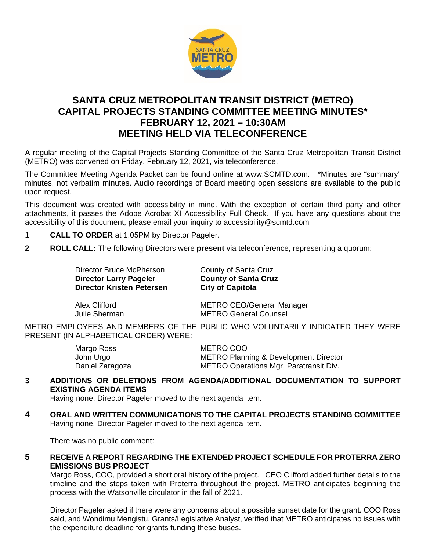

# **SANTA CRUZ METROPOLITAN TRANSIT DISTRICT (METRO) CAPITAL PROJECTS STANDING COMMITTEE MEETING MINUTES\* FEBRUARY 12, 2021 – 10:30AM MEETING HELD VIA TELECONFERENCE**

A regular meeting of the Capital Projects Standing Committee of the Santa Cruz Metropolitan Transit District (METRO) was convened on Friday, February 12, 2021, via teleconference.

The Committee Meeting Agenda Packet can be found online at www.SCMTD.com. \*Minutes are "summary" minutes, not verbatim minutes. Audio recordings of Board meeting open sessions are available to the public upon request.

This document was created with accessibility in mind. With the exception of certain third party and other attachments, it passes the Adobe Acrobat XI Accessibility Full Check. If you have any questions about the accessibility of this document, please email your inquiry to accessibility@scmtd.com

- 1 **CALL TO ORDER** at 1:05PM by Director Pageler.
- **2 ROLL CALL:** The following Directors were **present** via teleconference, representing a quorum:

Director Bruce McPherson County of Santa Cruz **Director Larry Pageler County of Santa Cruz**<br> **Director Kristen Petersen City of Capitola Director Kristen Petersen** 

Alex Clifford **METRO CEO/General Manager** Julie Sherman METRO General Counsel

METRO EMPLOYEES AND MEMBERS OF THE PUBLIC WHO VOLUNTARILY INDICATED THEY WERE PRESENT (IN ALPHABETICAL ORDER) WERE:

| Margo Ross      | METRO COO                                        |
|-----------------|--------------------------------------------------|
| John Urgo       | <b>METRO Planning &amp; Development Director</b> |
| Daniel Zaragoza | <b>METRO Operations Mgr, Paratransit Div.</b>    |

### **3 ADDITIONS OR DELETIONS FROM AGENDA/ADDITIONAL DOCUMENTATION TO SUPPORT EXISTING AGENDA ITEMS**

Having none, Director Pageler moved to the next agenda item.

**4 ORAL AND WRITTEN COMMUNICATIONS TO THE CAPITAL PROJECTS STANDING COMMITTEE**  Having none, Director Pageler moved to the next agenda item.

There was no public comment:

**5 RECEIVE A REPORT REGARDING THE EXTENDED PROJECT SCHEDULE FOR PROTERRA ZERO EMISSIONS BUS PROJECT** 

Margo Ross, COO, provided a short oral history of the project. CEO Clifford added further details to the timeline and the steps taken with Proterra throughout the project. METRO anticipates beginning the process with the Watsonville circulator in the fall of 2021.

Director Pageler asked if there were any concerns about a possible sunset date for the grant. COO Ross said, and Wondimu Mengistu, Grants/Legislative Analyst, verified that METRO anticipates no issues with the expenditure deadline for grants funding these buses.